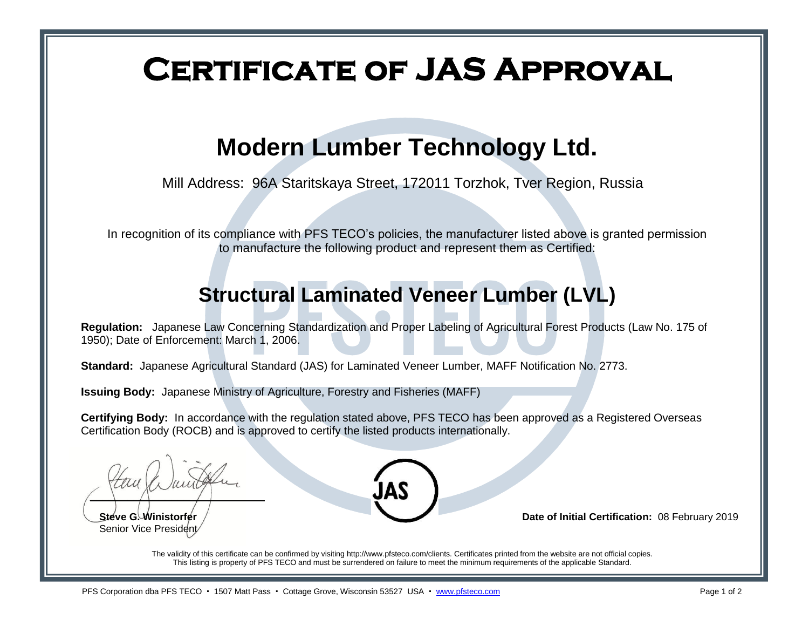# **Certificate of JAS Approval**

# **Modern Lumber Technology Ltd.**

Mill Address: 96A Staritskaya Street, 172011 Torzhok, Tver Region, Russia

In recognition of its compliance with PFS TECO's policies, the manufacturer listed above is granted permission to manufacture the following product and represent them as Certified:

### **Structural Laminated Veneer Lumber (LVL)**

**Regulation:** Japanese Law Concerning Standardization and Proper Labeling of Agricultural Forest Products (Law No. 175 of 1950); Date of Enforcement: March 1, 2006.

**Standard:** Japanese Agricultural Standard (JAS) for Laminated Veneer Lumber, MAFF Notification No. 2773.

**Issuing Body:** Japanese Ministry of Agriculture, Forestry and Fisheries (MAFF)

**Certifying Body:** In accordance with the regulation stated above, PFS TECO has been approved as a Registered Overseas Certification Body (ROCB) and is approved to certify the listed products internationally.

 $\overline{\phantom{a}}$   $\overline{\phantom{a}}$   $\overline{\phantom{a}}$   $\overline{\phantom{a}}$   $\overline{\phantom{a}}$   $\overline{\phantom{a}}$   $\overline{\phantom{a}}$   $\overline{\phantom{a}}$   $\overline{\phantom{a}}$   $\overline{\phantom{a}}$   $\overline{\phantom{a}}$   $\overline{\phantom{a}}$   $\overline{\phantom{a}}$   $\overline{\phantom{a}}$   $\overline{\phantom{a}}$   $\overline{\phantom{a}}$   $\overline{\phantom{a}}$   $\overline{\phantom{a}}$   $\overline{\$ 

Senior Vice President



**Steve G. Winistorfer** / **Date of Initial Certification:** 08 February 2019

The validity of this certificate can be confirmed by visiting http://www.pfsteco.com/clients. Certificates printed from the website are not official copies. This listing is property of PFS TECO and must be surrendered on failure to meet the minimum requirements of the applicable Standard.